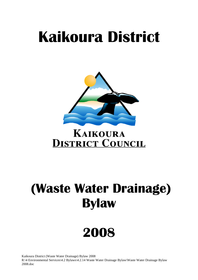# **Kaikoura District**



## **KAIKOURA DISTRICT COUNCIL**

## **(Waste Water Drainage) Bylaw**

## **2008**

Kaikoura District (Waste Water Drainage) Bylaw 2008 R:\4 Environmental Services\4.2 Bylaws\4.2.14 Waste Water Drainage Bylaw\Waste Water Drainage Bylaw 2008.doc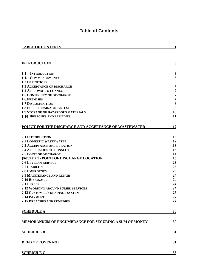## **Table of Contents**

<span id="page-1-0"></span>

| $\mathbf{3}$<br><b>INTRODUCTION</b><br>$\mathbf{3}$<br>1.1 INTRODUCTION<br>$\mathbf{3}$<br><b>1.1.1 COMMENCEMENT:</b><br>$\mathbf{3}$<br><b>1.2 DEFINITIONS</b><br>$\overline{7}$<br>1.3 ACCEPTANCE OF DISCHARGE<br>7<br><b>1.4 APPROVAL TO CONNECT</b><br>$\overline{7}$<br><b>1.5 CONTINUITY OF DISCHARGE</b><br>7<br><b>1.6 PREMISES</b><br>$\bf{8}$<br><b>1.7 DISCONNECTION</b><br>9<br><b>1.8 PUBLIC DRAINAGE SYSTEM</b><br>10<br><b>1.9 STORAGE OF HAZARDOUS MATERIALS</b><br><b>1.10 BREACHES AND REMEDIES</b><br>11<br>POLICY FOR THE DISCHARGE AND ACCEPTANCE OF WASTEWATER<br>12<br>12<br><b>2.1 INTRODUCTION</b><br>12<br><b>2.2 DOMESTIC WASTEWATER</b><br>13<br><b>2.3 ACCEPTANCE AND DURATION</b><br>13<br><b>2.4 APPLICATION TO CONNECT</b><br><b>2.5 POINT OF DISCHARGE</b><br>14<br><b>FIGURE 2.1 - POINT OF DISCHARGE LOCATION</b><br>15<br>23<br><b>2.6 LEVEL OF SERVICE</b><br>2.7 LIABILITY<br>23<br>23<br><b>2.8 EMERGENCY</b><br>24<br><b>2.9 MAINTENANCE AND REPAIR</b><br>2.10 BLOCKAGES<br>24<br>2.11 TREES<br>24<br>24<br><b>2.12 WORKING AROUND BURIED SERVICES</b><br>25<br>2.13 CUSTOMER'S DRAINAGE SYSTEM<br>27<br>2.14 PAYMENT<br>27<br><b>2.15 BREACHES AND REMEDIES</b><br><b>SCHEDULE A</b><br>30<br><b>MEMORANDUM OF ENCUMBRANCE FOR SECURING A SUM OF MONEY</b><br>30<br><b>SCHEDULE B</b><br>31<br><b>DEED OF COVENANT</b><br>31<br><b>SCHEDULE C</b><br>33 | <b>TABLE OF CONTENTS</b> | 1 |
|---------------------------------------------------------------------------------------------------------------------------------------------------------------------------------------------------------------------------------------------------------------------------------------------------------------------------------------------------------------------------------------------------------------------------------------------------------------------------------------------------------------------------------------------------------------------------------------------------------------------------------------------------------------------------------------------------------------------------------------------------------------------------------------------------------------------------------------------------------------------------------------------------------------------------------------------------------------------------------------------------------------------------------------------------------------------------------------------------------------------------------------------------------------------------------------------------------------------------------------------------------------------------------------------------------------------------------------------------------------------------------------------------|--------------------------|---|
|                                                                                                                                                                                                                                                                                                                                                                                                                                                                                                                                                                                                                                                                                                                                                                                                                                                                                                                                                                                                                                                                                                                                                                                                                                                                                                                                                                                                   |                          |   |
|                                                                                                                                                                                                                                                                                                                                                                                                                                                                                                                                                                                                                                                                                                                                                                                                                                                                                                                                                                                                                                                                                                                                                                                                                                                                                                                                                                                                   |                          |   |
|                                                                                                                                                                                                                                                                                                                                                                                                                                                                                                                                                                                                                                                                                                                                                                                                                                                                                                                                                                                                                                                                                                                                                                                                                                                                                                                                                                                                   |                          |   |
|                                                                                                                                                                                                                                                                                                                                                                                                                                                                                                                                                                                                                                                                                                                                                                                                                                                                                                                                                                                                                                                                                                                                                                                                                                                                                                                                                                                                   |                          |   |
|                                                                                                                                                                                                                                                                                                                                                                                                                                                                                                                                                                                                                                                                                                                                                                                                                                                                                                                                                                                                                                                                                                                                                                                                                                                                                                                                                                                                   |                          |   |
|                                                                                                                                                                                                                                                                                                                                                                                                                                                                                                                                                                                                                                                                                                                                                                                                                                                                                                                                                                                                                                                                                                                                                                                                                                                                                                                                                                                                   |                          |   |
|                                                                                                                                                                                                                                                                                                                                                                                                                                                                                                                                                                                                                                                                                                                                                                                                                                                                                                                                                                                                                                                                                                                                                                                                                                                                                                                                                                                                   |                          |   |
|                                                                                                                                                                                                                                                                                                                                                                                                                                                                                                                                                                                                                                                                                                                                                                                                                                                                                                                                                                                                                                                                                                                                                                                                                                                                                                                                                                                                   |                          |   |
|                                                                                                                                                                                                                                                                                                                                                                                                                                                                                                                                                                                                                                                                                                                                                                                                                                                                                                                                                                                                                                                                                                                                                                                                                                                                                                                                                                                                   |                          |   |
|                                                                                                                                                                                                                                                                                                                                                                                                                                                                                                                                                                                                                                                                                                                                                                                                                                                                                                                                                                                                                                                                                                                                                                                                                                                                                                                                                                                                   |                          |   |
|                                                                                                                                                                                                                                                                                                                                                                                                                                                                                                                                                                                                                                                                                                                                                                                                                                                                                                                                                                                                                                                                                                                                                                                                                                                                                                                                                                                                   |                          |   |
|                                                                                                                                                                                                                                                                                                                                                                                                                                                                                                                                                                                                                                                                                                                                                                                                                                                                                                                                                                                                                                                                                                                                                                                                                                                                                                                                                                                                   |                          |   |
|                                                                                                                                                                                                                                                                                                                                                                                                                                                                                                                                                                                                                                                                                                                                                                                                                                                                                                                                                                                                                                                                                                                                                                                                                                                                                                                                                                                                   |                          |   |
|                                                                                                                                                                                                                                                                                                                                                                                                                                                                                                                                                                                                                                                                                                                                                                                                                                                                                                                                                                                                                                                                                                                                                                                                                                                                                                                                                                                                   |                          |   |
|                                                                                                                                                                                                                                                                                                                                                                                                                                                                                                                                                                                                                                                                                                                                                                                                                                                                                                                                                                                                                                                                                                                                                                                                                                                                                                                                                                                                   |                          |   |
|                                                                                                                                                                                                                                                                                                                                                                                                                                                                                                                                                                                                                                                                                                                                                                                                                                                                                                                                                                                                                                                                                                                                                                                                                                                                                                                                                                                                   |                          |   |
|                                                                                                                                                                                                                                                                                                                                                                                                                                                                                                                                                                                                                                                                                                                                                                                                                                                                                                                                                                                                                                                                                                                                                                                                                                                                                                                                                                                                   |                          |   |
|                                                                                                                                                                                                                                                                                                                                                                                                                                                                                                                                                                                                                                                                                                                                                                                                                                                                                                                                                                                                                                                                                                                                                                                                                                                                                                                                                                                                   |                          |   |
|                                                                                                                                                                                                                                                                                                                                                                                                                                                                                                                                                                                                                                                                                                                                                                                                                                                                                                                                                                                                                                                                                                                                                                                                                                                                                                                                                                                                   |                          |   |
|                                                                                                                                                                                                                                                                                                                                                                                                                                                                                                                                                                                                                                                                                                                                                                                                                                                                                                                                                                                                                                                                                                                                                                                                                                                                                                                                                                                                   |                          |   |
|                                                                                                                                                                                                                                                                                                                                                                                                                                                                                                                                                                                                                                                                                                                                                                                                                                                                                                                                                                                                                                                                                                                                                                                                                                                                                                                                                                                                   |                          |   |
|                                                                                                                                                                                                                                                                                                                                                                                                                                                                                                                                                                                                                                                                                                                                                                                                                                                                                                                                                                                                                                                                                                                                                                                                                                                                                                                                                                                                   |                          |   |
|                                                                                                                                                                                                                                                                                                                                                                                                                                                                                                                                                                                                                                                                                                                                                                                                                                                                                                                                                                                                                                                                                                                                                                                                                                                                                                                                                                                                   |                          |   |
|                                                                                                                                                                                                                                                                                                                                                                                                                                                                                                                                                                                                                                                                                                                                                                                                                                                                                                                                                                                                                                                                                                                                                                                                                                                                                                                                                                                                   |                          |   |
|                                                                                                                                                                                                                                                                                                                                                                                                                                                                                                                                                                                                                                                                                                                                                                                                                                                                                                                                                                                                                                                                                                                                                                                                                                                                                                                                                                                                   |                          |   |
|                                                                                                                                                                                                                                                                                                                                                                                                                                                                                                                                                                                                                                                                                                                                                                                                                                                                                                                                                                                                                                                                                                                                                                                                                                                                                                                                                                                                   |                          |   |
|                                                                                                                                                                                                                                                                                                                                                                                                                                                                                                                                                                                                                                                                                                                                                                                                                                                                                                                                                                                                                                                                                                                                                                                                                                                                                                                                                                                                   |                          |   |
|                                                                                                                                                                                                                                                                                                                                                                                                                                                                                                                                                                                                                                                                                                                                                                                                                                                                                                                                                                                                                                                                                                                                                                                                                                                                                                                                                                                                   |                          |   |
|                                                                                                                                                                                                                                                                                                                                                                                                                                                                                                                                                                                                                                                                                                                                                                                                                                                                                                                                                                                                                                                                                                                                                                                                                                                                                                                                                                                                   |                          |   |
|                                                                                                                                                                                                                                                                                                                                                                                                                                                                                                                                                                                                                                                                                                                                                                                                                                                                                                                                                                                                                                                                                                                                                                                                                                                                                                                                                                                                   |                          |   |
|                                                                                                                                                                                                                                                                                                                                                                                                                                                                                                                                                                                                                                                                                                                                                                                                                                                                                                                                                                                                                                                                                                                                                                                                                                                                                                                                                                                                   |                          |   |
|                                                                                                                                                                                                                                                                                                                                                                                                                                                                                                                                                                                                                                                                                                                                                                                                                                                                                                                                                                                                                                                                                                                                                                                                                                                                                                                                                                                                   |                          |   |
|                                                                                                                                                                                                                                                                                                                                                                                                                                                                                                                                                                                                                                                                                                                                                                                                                                                                                                                                                                                                                                                                                                                                                                                                                                                                                                                                                                                                   |                          |   |
|                                                                                                                                                                                                                                                                                                                                                                                                                                                                                                                                                                                                                                                                                                                                                                                                                                                                                                                                                                                                                                                                                                                                                                                                                                                                                                                                                                                                   |                          |   |
|                                                                                                                                                                                                                                                                                                                                                                                                                                                                                                                                                                                                                                                                                                                                                                                                                                                                                                                                                                                                                                                                                                                                                                                                                                                                                                                                                                                                   |                          |   |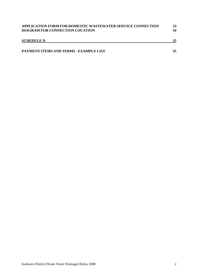| APPLICATION FORM FOR DOMESTIC WASTEWATER SERVICE CONNECTION | 33 |
|-------------------------------------------------------------|----|
| DIAGRAM FOR CONNECTION LOCATION                             | 34 |
| <b>SCHEDULE D</b>                                           | 35 |
| PAYMENT ITEMS AND TERMS - EXAMPLE LIST                      | 35 |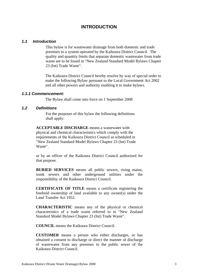### **INTRODUCTION**

#### <span id="page-3-0"></span>*1.1 Introduction*

This bylaw is for wastewater drainage from both domestic and trade premises to a system operated by the Kaikoura District Council. The quality and quantity limits that separate domestic wastewater from trade waste are to be found in "New Zealand Standard Model Bylaws Chapter 23 (Int) Trade Waste".

The Kaikoura District Council hereby resolve by way of special order to make the following Bylaw pursuant to the Local Government Act 2002 and all other powers and authority enabling it to make bylaws.

#### *1.1.1 Commencement:*

The Bylaw shall come into force on 1 September 2008

#### *1.2 Definitions*

For the purposes of this bylaw the following definitions shall apply:

**ACCEPTABLE DISCHARGE** means a wastewater with physical and chemical characteristics which comply with the requirements of the Kaikoura District Council as scheduled in "New Zealand Standard Model Bylaws Chapter 23 (Int) Trade Waste".

or by an officer of the Kaikoura District Council authorized for that purpose.

**BURIED SERVICES** means all public sewers, rising mains, trunk sewers and other underground utilities under the responsibility of the Kaikoura District Council.

**CERTIFICATE OF TITLE** means a certificate registering the freehold ownership of land available to any owner(s) under the Land Transfer Act 1952.

**CHARACTERISTIC** means any of the physical or chemical characteristics of a trade waste referred to in "New Zealand Standard Model Bylaws Chapter 23 (Int) Trade Waste".

**COUNCIL** means the Kaikoura District Council.

**CUSTOMER** means a person who either discharges, or has obtained a consent to discharge or direct the manner of discharge of wastewater from any premises to the public sewer of the Kaikoura District Council.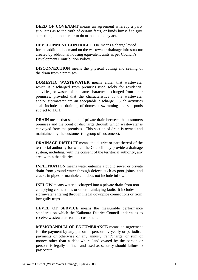**DEED OF COVENANT** means an agreement whereby a party stipulates as to the truth of certain facts, or binds himself to give something to another, or to do or not to do any act.

**DEVELOPMENT CONTRIBUTION** means a charge levied for the additional demand on the wastewater drainage infrastructure created by additional housing equivalent units as per Council's Development Contribution Policy.

**DISCONNECTION** means the physical cutting and sealing of the drain from a premises.

**DOMESTIC WASTEWATER** means either that wastewater which is discharged from premises used solely for residential activities, or wastes of the same character discharged from other premises, provided that the characteristics of the wastewater and/or stormwater are an acceptable discharge. Such activities shall include the draining of domestic swimming and spa pools subject to 1.6.1.

**DRAIN** means that section of private drain between the customers premises and the point of discharge through which wastewater is conveyed from the premises. This section of drain is owned and maintained by the customer (or group of customers).

**DRAINAGE DISTRICT** means the district or part thereof of the territorial authority for which the Council may provide a drainage system, including, with the consent of the territorial authority, any area within that district.

**INFILTRATION** means water entering a public sewer or private drain from ground water through defects such as poor joints, and cracks in pipes or manholes. It does not include inflow.

**INFLOW** means water discharged into a private drain from noncomplying connections or other drainlaying faults. It includes stormwater entering through illegal downpipe connections or from low gully traps.

**LEVEL OF SERVICE** means the measurable performance standards on which the Kaikoura District Council undertakes to receive wastewater from its customers.

**MEMORANDUM OF ENCUMBRANCE** means an agreement for the payment by any person or persons by yearly or periodical payments or otherwise of any annuity, rent/charge, or sum of money other than a debt where land owned by the person or persons is legally defined and used as security should failure to pay occur.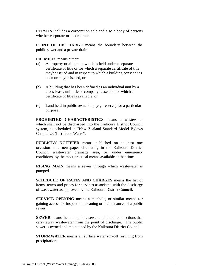**PERSON** includes a corporation sole and also a body of persons whether corporate or incorporate.

**POINT OF DISCHARGE** means the boundary between the public sewer and a private drain.

**PREMISES** means either:

- (a) A property or allotment which is held under a separate certificate of title or for which a separate certificate of title maybe issued and in respect to which a building consent has been or maybe issued, or
- (b) A building that has been defined as an individual unit by a cross-lease, unit title or company lease and for which a certificate of title is available, or
- (c) Land held in public ownership (e.g. reserve) for a particular purpose.

**PROHIBITED CHARACTERISTICS** means a wastewater which shall not be discharged into the Kaikoura District Council system, as scheduled in "New Zealand Standard Model Bylaws Chapter 23 (Int) Trade Waste".

**PUBLICLY NOTIFIED** means published on at least one occasion in a newspaper circulating in the Kaikoura District Council wastewater drainage area, or, under emergency conditions, by the most practical means available at that time.

**RISING MAIN** means a sewer through which wastewater is pumped.

**SCHEDULE OF RATES AND CHARGES** means the list of items, terms and prices for services associated with the discharge of wastewater as approved by the Kaikoura District Council.

**SERVICE OPENING** means a manhole, or similar means for gaining access for inspection, cleaning or maintenance, of a public sewer.

**SEWER** means the main public sewer and lateral connections that carry away wastewater from the point of discharge. The public sewer is owned and maintained by the Kaikoura District Council.

**STORMWATER** means all surface water run-off resulting from precipitation.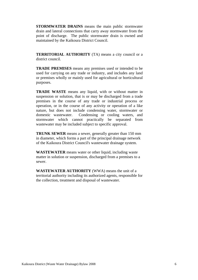**STORMWATER DRAINS** means the main public stormwater drain and lateral connections that carry away stormwater from the point of discharge. The public stormwater drain is owned and maintained by the Kaikoura District Council.

**TERRITORIAL AUTHORITY** (TA) means a city council or a district council.

**TRADE PREMISES** means any premises used or intended to be used for carrying on any trade or industry, and includes any land or premises wholly or mainly used for agricultural or horticultural purposes.

**TRADE WASTE** means any liquid, with or without matter in suspension or solution, that is or may be discharged from a trade premises in the course of any trade or industrial process or operation, or in the course of any activity or operation of a like nature, but does not include condensing water, stormwater or domestic wastewater. Condensing or cooling waters, and stormwater which cannot practically be separated from wastewater may be included subject to specific approval.

**TRUNK SEWER** means a sewer, generally greater than 150 mm in diameter, which forms a part of the principal drainage network of the Kaikoura District Council's wastewater drainage system.

**WASTEWATER** means water or other liquid, including waste matter in solution or suspension, discharged from a premises to a sewer.

**WASTEWATER AUTHORITY** (WWA) means the unit of a territorial authority including its authorized agents, responsible for the collection, treatment and disposal of wastewater.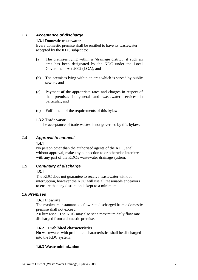#### <span id="page-7-0"></span>*1.3 Acceptance of discharge*

#### **1.3.1 Domestic wastewater**

Every domestic premise shall be entitled to have its wastewater accepted by the KDC subject to:

- (a) The premises lying within a "drainage district" if such an area has been designated by the KDC under the Local Government Act 2002 (LGA), and
- **(**b) The premises lying within an area which is served by public sewers, and
- (c) Payment **of** the appropriate rates and charges in respect of that premises in general and wastewater services in particular, and
- (d) Fulfillment of the requirements of this bylaw.

#### **1.3.2 Trade waste**

The acceptance of trade wastes is not governed by this bylaw.

#### *1.4 Approval to connect*

#### **1.4.1**

No person other than the authorised agents of the KDC, shall without approval, make any connection to or otherwise interfere with any part of the KDC's wastewater drainage system.

#### *1.5 Continuity of discharge*

#### **1.5.1**

The KDC does not guarantee to receive wastewater without interruption, however the KDC will use all reasonable endeavors to ensure that any disruption is kept to a minimum.

#### *1.6 Premises*

#### **1.6.1 Flowrate**

The maximum instantaneous flow rate discharged from a domestic premise shall not exceed

2.0 litres/sec. The KDC may also set a maximum daily flow rate discharged from a domestic premise.

#### **1.6.2 Prohibited characteristics**

**No** wastewater with prohibited characteristics shall be discharged into the KDC system.

#### **1.6.3 Waste minimization**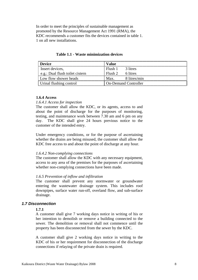<span id="page-8-0"></span>In order to meet the principles of sustainable management as promoted by the Resource Management Act 1991 (RMA), the KDC recommends a customer fits the devices contained in table 1. 1 on all new installations.

| Device                                   |                            |
|------------------------------------------|----------------------------|
| Insert devices,                          | 3 litres                   |
| $\equiv$ e.g.: Dual flush toilet cistern | 6 litres<br>- Flush 2      |
| Low flow shower heads                    | 8 litres/min<br>$_{2}$ Max |
| Urinal flushing control                  | On-Demand Controller       |

**Table 1.1 - Waste minimization devices** 

#### **1.6.4 Access**

#### *1.6.4.1 Access for inspection*

The customer shall allow the KDC, or its agents, access to and about the point of discharge for the purposes of monitoring, testing, and maintenance work between 7.30 am and 6 pm on any day. The KDC shall give 24 hours previous notice to the customer of the intended entry.

Under emergency conditions, or for the purpose of ascertaining whether the drains are being misused, the customer shall allow the KDC free access to and about the point of discharge at any hour.

#### *1.6.4.2 Non-complying connections*

The customer shall allow the KDC with any necessary equipment, access to any area of the premises for the purposes of ascertaining whether non-complying connections have been made.

#### *1.6.5 Prevention of inflow and infiltration*

The customer shall prevent any stormwater or groundwater entering the wastewater drainage system. This includes roof downpipes, surface water run-off, overland flow, and sub-surface drainage.

#### *1.7 Disconnection*

#### **1.7.1**

A customer shall give 7 working days notice in writing of his or her intention to demolish or remove a building connected to the sewer. The demolition or removal shall not commence until the property has been disconnected from the sewer by the KDC.

A customer shall give 2 working days notice in writing to the KDC of his or her requirement for disconnection of the discharge connections if relaying of the private drain is required.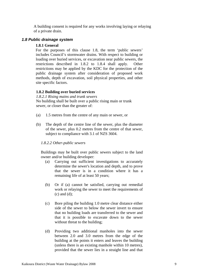<span id="page-9-0"></span>A building consent is required for any works involving laying or relaying of a private drain.

#### *1.8 Public drainage system*

#### **1.8.1 General**

For the purposes of this clause 1.8, the term 'public sewers' includes Council's stormwater drains. With respect to building or loading over buried services, or excavation near public sewers, the restrictions described in 1.8.2 to 1.8.4 shall apply. Other restrictions may be applied by the KDC for the protection of the public drainage system after consideration of proposed work methods, depth of excavation, soil physical properties, and other site specific factors.

#### **1.8.2 Building over buried services**

*1.8.2.1 Rising mains and trunk sewers*  No building shall be built over a public rising main or trunk sewer, or closer than the greater of:

- (a) 1.5 metres from the centre of any main or sewer, or
- (b) The depth of the centre line of the sewer, plus the diameter of the sewer, plus 0.2 metres from the centre of that sewer, subject to compliance with 3.1 of NZS 3604.

#### *1.8.2.2 Other-public sewers*

Buildings may be built over public sewers subject to the land owner and/or building developer:

- (a) Carrying out sufficient investigations to accurately determine the sewer's location and depth, and to prove that the sewer is in a condition where it has a remaining life of at least 50 years;
- (b) Or if (a) cannot be satisfied, carrying out remedial work or relaying the sewer to meet the requirements of (c) and (d);
- (c) Bore piling the building 1.0 metre clear distance either side of the sewer to below the sewer invert to ensure that no building loads are transferred to the sewer and that it is possible to excavate down to the sewer without threat to the building;
- (d) Providing two additional manholes into the sewer between 2.0 and 3.0 metres from the edge of the building at the points it enters and leaves the building (unless there is an existing manhole within 10 metres), provided that the sewer lies in a straight line and that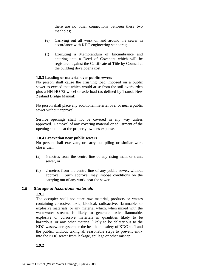there are no other connections between these two manholes;

- <span id="page-10-0"></span>(e) Carrying out all work on and around the sewer in accordance with KDC engineering standards;
- (f) Executing a Memorandum of Encumbrance and entering into a Deed of Covenant which will be registered against the Certificate of Title by Council at the building developer's cost.

#### **1.8.3 Loading or material over public sewers**

No person shall cause the crushing load imposed on a public sewer to exceed that which would arise from the soil overburden plus a HN-HO-72 wheel or axle load (as defined by Transit New Zealand Bridge Manual).

No person shall place any additional material over or near a public sewer without approval.

Service openings shall not be covered in any way unless approved. Removal of any covering material or adjustment of the opening shall be at the property owner's expense.

#### **1.8.4 Excavation near public sewers**

No person shall excavate, or carry out piling or similar work closer than:

- (a) 5 metres from the centre line of any rising main or trunk sewer, or
- (b) 2 metres from the centre line of any public sewer, without approval. Such approval may impose conditions on the carrying out of any work near the sewer.

#### *1.9 Storage of hazardous materials*

#### **1.9.1**

The occupier shall not store raw material, products or wastes containing corrosive, toxic, biocidal, radioactive, flammable, or explosive materials, or any material which, when mixed with the wastewater stream, is likely to generate toxic, flammable, explosive or corrosive materials in quantities likely to be hazardous, or any other material likely to be deleterious to the KDC wastewater system or the health and safety of KDC staff and the public, without taking all reasonable steps to prevent entry into the KDC sewer from leakage, spillage or other mishap.

#### **1.9.2**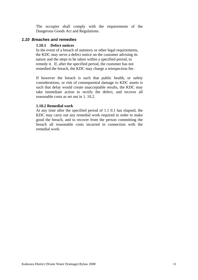<span id="page-11-0"></span>The occupier shall comply with the requirements of the Dangerous Goods Act and Regulations.

#### *1.10 Breaches and remedies*

#### **1.10.1 Defect notices**

In the event of a breach of statutory or other legal requirements, the KDC may serve a defect notice on the customer advising its nature and the steps to be taken within a specified period, to remedy it. If, after the specified period, the customer has not remedied the breach, the KDC may charge a reinspection fee.

If however the breach is such that public health, or safety considerations, or risk of consequential damage to KDC assets is such that delay would create unacceptable results, the KDC may take immediate action to rectify the defect, and recover all reasonable costs as set out in 1. 10.2.

#### **1.10.2 Remedial work**

At any time after the specified period of 1.1 0.1 has elapsed, the KDC may carry out any remedial work required in order to make good the breach, and to recover from the person committing the breach all reasonable costs incurred in connection with the remedial work.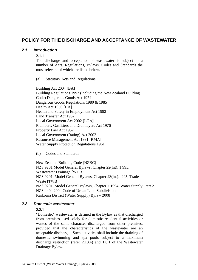### <span id="page-12-0"></span>**POLICY FOR THE DISCHARGE AND ACCEPTANCE OF WASTEWATER**

#### *2.1 Introduction*

#### **2.1.1**

The discharge and acceptance of wastewater is subject to a number of Acts, Regulations, Bylaws, Codes and Standards the most relevant of which are listed below.

(a) Statutory Acts and Regulations

Building Act 2004 [BA] Building Regulations 1992 (including the New Zealand Building Code) Dangerous Goods Act 1974 Dangerous Goods Regulations 1980 & 1985 Health Act 1956 [HA] Health and Safety in Employment Act 1992 Land Transfer Act 1952 Local Government Act 2002 [LGA] Plumbers, Gasfitters and Drainlayers Act 1976 Property Law Act 1952 Local Government (Rating) Act 2002 Resource Management Act 1991 [RMA] Water Supply Protection Regulations 1961

(b) Codes and Standards

New Zealand Building Code [NZBC] NZS 9201 Model General Bylaws, Chapter 22(lnt): 1 995, Wastewater Drainage [WDBJ NZS 9201, Model General Bylaws, Chapter 23(lnt):l 995, Trade Waste [TWB] NZS 9201, Model General Bylaws, Chapter 7:1994, Water Supply, Part 2 NZS 4404 2004 Code of Urban Land Subdivision Kaikoura District (Water Supply) Bylaw 2008

#### *2.2 Domestic wastewater*

#### **2.2.1**

"Domestic" wastewater is defined in the Bylaw as that discharged from premises used solely for domestic residential activities or wastes of the same character discharged from other premises, provided that the characteristics of the wastewater are an acceptable discharge. Such activities shall include the draining of domestic swimming and spa pools subject to a maximum discharge restriction (refer 2.13.4) and 1.6.1 of the Wastewater Drainage Bylaw.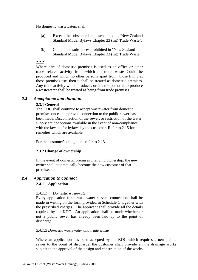<span id="page-13-0"></span>No domestic wastewaters shall:

- (a) Exceed the substance limits scheduled in "New Zealand Standard Model Bylaws Chapter 23 (Int) Trade Waste".
- (b) Contain the substances prohibited in "New Zealand Standard Model Bylaws Chapter 23 (Int) Trade Waste

#### **2.2.2**

Where part of domestic premises is used as an office or other trade related activity from which no trade waste Could be produced and which no other persons apart from those living at those premises use, then it shall he treated as domestic premises. Any trade activity which produces or has the potential to produce a wastewater shall be treated as being from trade premises.

#### *2.3 Acceptance and duration*

#### **2.3.1 General**

The KDC shall continue to accept wastewater from domestic premises once an approved connection to the public sewer has been made. Disconnection of the sewer, or restriction of the water supply are not options available in the event of non-compliance with the law and/or bylaws by the customer. Refer to 2.15 for remedies which are available.

For the customer's obligations refer to 2.13.

#### **2.3.2 Change of ownership**

In the event of domestic premises changing ownership, the new owner shall automatically become the new customer of that premise.

### *2.4 Application to connect*

#### **2.4.1 Application**

#### *2.4.1.1 Domestic wastewater*

Every application for a wastewater service connection shall be made in writing on the form provided in Schedule C together with the prescribed charges. The applicant shall provide all the details required by the KDC. An application shall be made whether or not a public sewer has already been laid up to the point of discharge.

#### *2.4.1.2 Domestic wastewater and trade waste*

Where an application has been accepted by the KDC which requires a new public sewer to the point of discharge, the customer shall provide all the drainage works subject to the approval of the design and construction of the works.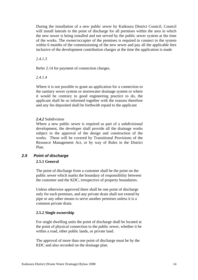<span id="page-14-0"></span>During the installation of a new public sewer by Kaikoura District Council, Council will install laterals to the point of discharge for all premises within the area in which the new sewer is being installed and not served by the public sewer system at the time of the works. The owner/occupier of the premises is required to connect to the system within 6 months of the commissioning of the new sewer and pay all the applicable fees inclusive of the development contribution charges at the time the application is made

#### *2.4.1.3*

Refer 2.14 for payment of connection charges.

#### *2.4.1.4*

Where it is not possible to grant an application for a connection to the sanitary sewer system or stormwater drainage system or where it would be contrary to good engineering practice to do, the applicant shall be so informed together with the reasons therefore and any fee deposited shall be forthwith repaid to the applicant

#### *2.4.2* Subdivision

Where a new public sewer is required as part of a subdivisional development, the developer shall provide all the drainage works subject to the approval of the design and construction of the works. These will be covered by Transitional Provisions of the Resource Management Act, or by way of Rules in the District Plan.

## *2.5 Point of discharge*

#### **2.5.1 General**

The point of discharge from a customer shall be the point on the public sewer which marks the boundary of responsibility between the customer and the KDC, irrespective of property boundaries.

Unless otherwise approved there shall be one point of discharge only for each premises, and any private drain shall not extend by pipe or any other means to serve another premises unless it is a common private drain.

#### **2.5.2 Single ownership**

For single dwelling units the point of discharge shall be located at the point of physical connection to the public sewer, whether it be within a road, other public lands, or private land.

The approval of more than one point of discharge must be by the KDC and also recorded on the drainage plan.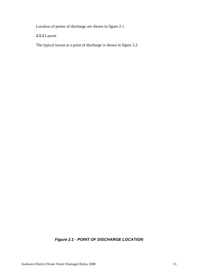<span id="page-15-0"></span>Location of points of discharge are shown in figure 2.1.

*2.5.3* Layout

The typical layout at a point of discharge is shown in figure 2.2.

## *Figure 2.1 - POINT OF DISCHARGE LOCATION*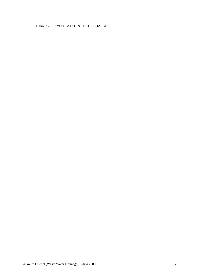### Figure 2.2 - LAYOUT AT POINT OF DISCHARGE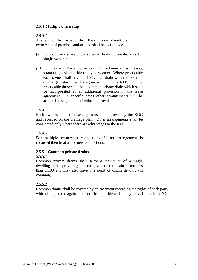#### **2.5.4 Multiple ownership**

#### *2.5.4.1*

The point of discharge for the different forms of multiple ownership of premises and/or land shall be as follows:

- (a) For company share/block scheme (body corporate) as for single ownership-,
- *(b)* For Leasehold/tenancy in common scheme (cross lease), strata title, and unit title (body corporate). Where practicable each owner shall have an individual drain with the point of discharge determined by agreement with the KDC. If not practicable there shall be a common private drain which shall be incorporated as an additional provision in the lease agreement. In specific cases other arrangements will be acceptable subject to individual approval.

#### *2.5.4.2*

Each owner's point of discharge must be approved by the KDC and recorded on the drainage plan. Other arrangements shall be considered only where there are advantages to the KDC.

#### *2.5.4.3*

For multiple ownership connections. If no arrangement is recorded then treat as for new connections.

#### **2.5.5 Common private drains**

#### *2.5.5.1*

Common private drains shall serve a maximum of 4 single dwelling units, providing that the grade of the drain is not less than 1:100 and may also have one point of discharge only (in common).

#### **2.5.5.2**

Common drains shall be covered by an easement recording the rights of each party, which is registered against the certificate of title and a copy provided to the KDC.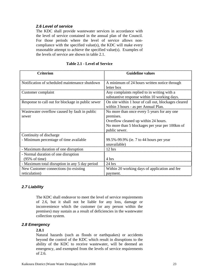#### <span id="page-23-0"></span>*2.6 Level of service*

The KDC shall provide wastewater services in accordance with the level of service contained in the annual plan of the Council. For those periods where the level of service allows noncompliance with the specified value(s), the KDC will make every reasonable attempt to achieve the specified value(s). Examples of the levels of service are shown in table 2.1.

| <b>Criterion</b>                                                  | <b>Guideline values</b>                                                                                                                                             |
|-------------------------------------------------------------------|---------------------------------------------------------------------------------------------------------------------------------------------------------------------|
| Notification of scheduled maintenance shutdown                    | A minimum of 24 hours written notice through<br>letter box                                                                                                          |
| Customer complaint                                                | Any complaints replied to in writing with a<br>substantive response within 10 working days.                                                                         |
| Response to call out for blockage in public sewer                 | On site within 1 hour of call out, blockages cleared<br>within 3 hours - as per Annual Plan.                                                                        |
| Wastewater overflow caused by fault in public<br>sewer            | No more than once every 5 years for any one<br>premises.<br>Overflow cleaned up within 24 hours.<br>No more than 5 blockages per year per 100km of<br>public sewer. |
| Continuity of discharge<br>- Minimum percentage of time available | 99.5%-99.9% (ie. 7 to 44 hours per year<br>unavailable)                                                                                                             |
| - Maximum duration of one disruption                              | 12 hrs                                                                                                                                                              |
| - Normal duration of one disruption<br>$(95\% \text{ of time})$   | 4 hrs                                                                                                                                                               |
| - Maximum total disruption in any 5 day period                    | $24$ hrs                                                                                                                                                            |
| New Customer connections (to existing<br>reticulation)            | Within 20 working days of application and fee<br>payment.                                                                                                           |

#### **Table 2.1 - Level of Service**

#### *2.7 Liability*

The KDC shall endeavor to meet the level of service requirements of 2.6, but it shall not be liable for any loss, damage or inconvenience which the customer (or any person within the premises) may sustain as a result of deficiencies in the wastewater collection system.

#### *2.8 Emergency*

#### **2.8.1**

Natural hazards (such as floods or earthquakes) or accidents beyond the control of the KDC which result in disruptions to the ability of the KDC to receive wastewater, will be deemed an emergency, and exempted from the levels of service requirements of 2.6.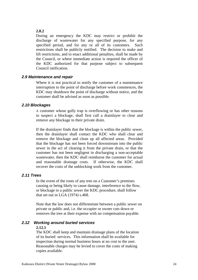#### <span id="page-24-0"></span>**2.8.2**

During an emergency the KDC may restrict or prohibit the discharge of wastewater for any specified purpose, for any specified period, and for any or all of its customers. Such restrictions shall be publicly notified. The decision to make and lift restrictions, and to enact additional penalties, shall be made by the Council, or where immediate action is required the officer of the KDC authorized for that purpose subject to subsequent Council ratification.

#### *2.9 Maintenance and repair*

Where it is not practical to notify the customer of a maintenance interruption to the point of discharge before work commences, the KDC may shutdown the point of discharge without notice, and the customer shall be advised as soon as possible.

#### *2.10 Blockages*

A customer whose gully trap is overflowing or has other reasons to suspect a blockage, shall first call a drainlayer to clear and remove any blockage in their private drain.

If the drainlayer finds that the blockage is within the public sewer, then the drainlayer shall contact the KDC who shall clear and remove the blockage and clean up all affected areas. Provided that the blockage has not been forced downstream into the public sewer in the act of clearing it from the private drain, or that the customer has not been negligent in discharging a non-acceptable wastewater, then the KDC shall reimburse the customer for actual and reasonable drainage costs. If otherwise, the KDC shall recover the costs of the unblocking work from the customer.

#### *2.11 Trees*

In the event of the roots of any tree on a Customer's premises causing or being likely to cause damage, interference to the flow, or blockage to a public sewer the KDC procedure, shall follow that set out in LGA (1974) s.468.

Note that the law does not differentiate between a public sewer on private or public and, i.e. the occupier or owner cuts down or removes the tree at their expense with no compensation payable.

#### *2.12 Working around buried services*

#### **2.12.1**

The KDC shall keep and maintain drainage plans of the location of its buried services. This information shall be available for inspection during normal business hours at no cost to the user. Reasonable charges may be levied to cover the costs of making copies available.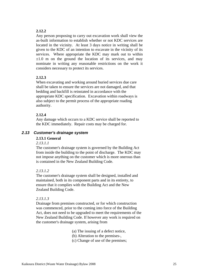#### <span id="page-25-0"></span>**2.12.2**

Any person proposing to carry out excavation work shall view the as-built information to establish whether or not KDC services are located in the vicinity. At least 3 days notice in writing shall be given to the KDC of an intention to excavate in the vicinity of its services. Where appropriate the KDC may mark out to within  $\pm 1.0$  m on the ground the location of its services, and may nominate in writing any reasonable restrictions on the work it considers necessary to protect its services.

#### **2.12.3**

When excavating and working around buried services due care shall be taken to ensure the services are not damaged, and that bedding and backfill is reinstated in accordance with the appropriate KDC specification. Excavation within roadways is also subject to the permit process of the appropriate roading authority.

#### **2.12.4**

Any damage which occurs to a KDC service shall be reported to the KDC immediately. Repair costs may be charged for.

#### *2.13 Customer's drainage system*

#### **2.13.1 General**

*2.13.1.1* 

The customer's drainage system is governed by the Building Act from inside the building to the point of discharge. The KDC may not impose anything on the customer which is more onerous than is contained in the New Zealand Building Code.

#### *2.13.1.2*

The customer's drainage system shall be designed, installed and maintained, both in its component parts and in its entirety, to ensure that it complies with the Building Act and the New Zealand Building Code.

#### *2.13.1.3*

Drainage from premises constructed, or for which construction was commenced, prior to the coming into force of the Building Act, does not need to be upgraded to meet the requirements of the New Zealand Building Code. If however any work is required on the customer's drainage system, arising from

- (a) The issuing of a defect notice,
- (b) Alteration to the premises-,
- (c) Change of use of the premises;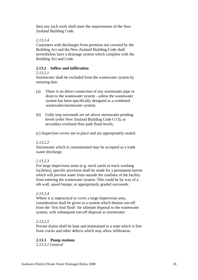then any such work shall meet the requirements of the New Zealand Building Code.

#### *2.13.1.4*

Customers with discharges from premises not covered by the Building Act and the New Zealand Building Code shall nevertheless have a drainage system which complies with the Building Act and Code.

#### **2.13.2 Inflow and infiltration**

#### *2.13.2.1*

Stormwater shall be excluded from the wastewater system by ensuring that:

- (a) There is no direct connection of any stormwater pipe or drain to the wastewater system - unless the wastewater system has been specifically designed as a combined wastewater/stormwater system;
- (b) Gully trap surrounds are set above stormwater ponding levels (refer New Zealand Building Code G13), or secondary overland flow path flood levels;
- (c) Inspection covers are in place and are appropriately sealed.

#### *2.13.2.2*

Stormwater which is contaminated may be accepted as a trade waste discharge.

#### *2.13.2.3*

For large impervious areas (e.g. stock yards or truck washing facilities), specific provision shall be made for a permanent barrier which will prevent water from outside the confines of the facility from entering the wastewater system. This could be by way of a nib wall, speed humps, or appropriately graded surrounds.

#### *2.13.2.4*

Where it is impractical to cover a large impervious area, consideration shall be given to a system which detains run-off from the 'first foul flush' for ultimate disposal to the wastewater system, with subsequent run-off disposal as stormwater.

#### *2.13.2.5*

Private drains shall be kept and maintained in a state which is free from cracks and other defects which may allow infiltration.

#### **2.13.3 Pump stations**

*2.13.3.1 General*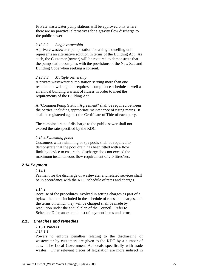<span id="page-27-0"></span>Private wastewater pump stations will be approved only where there are no practical alternatives for a gravity flow discharge to the public sewer.

#### *2.13.3.2 Single ownership*

A private wastewater pump station for a single dwelling unit represents an alternative solution in terms of the Building Act. As such, the Customer (owner) will be required to demonstrate that the pump station complies with the provisions of the New Zealand Building Code when seeking a consent.

#### *2.13.3.3 Multiple ownership*

A private wastewater pump station serving more than one residential dwelling unit requires a compliance schedule as well as an annual building warrant of fitness in order to meet the requirements of the Building Act.

A "Common Pump Station Agreement" shall be required between the parties, including appropriate maintenance of rising mains. It shall be registered against the Certificate of Title of each party.

The combined rate of discharge to the public sewer shall not exceed the rate specified by the KDC.

#### *2.13.4 Swimming pools*

Customers with swimming or spa pools shall be required to demonstrate that the pool drain has been fitted with a flow limiting device to ensure the discharge does not exceed the maximum instantaneous flow requirement of 2.0 litres/sec.

#### *2.14 Payment*

#### **2.14.1**

Payment for the discharge of wastewater and related services shall be in accordance with the KDC schedule of rates and charges.

#### **2.14.2**

Because of the procedures involved in setting charges as part of a bylaw, the items included in the schedule of rates and charges, and the terms on which they will be charged shall be made by resolution under the annual plan of the Council. Refer to Schedule D for an example list of payment items and terms.

#### *2.15 Breaches and remedies*

#### **2.15.1 Powers**

#### *2.15.1.1*

Powers to enforce penalties relating to the discharging of wastewater by customers are given to the KDC by a number of acts. The Local Government Act deals specifically with trade wastes. Other relevant pieces of legislation are more indirect in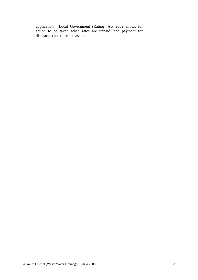application. Local Government (Rating) Act 2002 allows for action to be taken when rates are unpaid, and payment for discharge can be treated as a rate.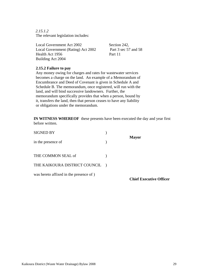*2.15.1.2*  The relevant legislation includes:

Local Government Act 2002 Section 242, Local Government (Rating) Act 2002 Part 3 sec 57 and 58 Health Act 1956 Part 11 Building Act 2004

#### **2.15.2 Failure to pay**

Any money owing for charges and rates for wastewater services becomes a charge on the land. An example of a Memorandum of Encumbrance and Deed of Covenant is given in Schedule A and Schedule B. The memorandum, once registered, will run with the land, and will bind successive landowners. Further, the memorandum specifically provides that when a person, bound by it, transfers the land, then that person ceases to have any liability or obligations under the memorandum.

**IN WITNESS WHEREOF** these presents have been executed the day and year first before written.

| <b>SIGNED BY</b>                       |                                |
|----------------------------------------|--------------------------------|
| in the presence of                     | <b>Mayor</b>                   |
| THE COMMON SEAL of                     |                                |
| THE KAIKOURA DISTRICT COUNCIL )        |                                |
| was hereto affixed in the presence of) | <b>Chief Executive Officer</b> |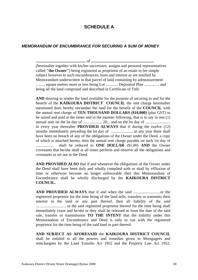## **SCHEDULE A**

#### <span id="page-30-0"></span>*MEMORANDUM OF ENCUMBRANCE FOR SECURING A SUM OF MONEY*

**..................................................** of **...............................................................** (hereinafter together with his/her successors, assigns and personal representatives called **"the Owner"**) being registered as proprietor of an estate in fee simple subject however to such encumbrances, liens and interest as are notified by Memorandum underwritten in that parcel of land containing by admeasurement .......... square metres more or less being Lot ............. Deposited Plan ................ and being all the land comprised and described in Certificate of Title

**AND** desiring to render the land available for the purpose of securing to and for the benefit of the **KAIKOURA DISTRICT COUNCIL** the rent charge hereinafter mentioned does hereby encumber the land for the benefit of the **COUNCIL** with the annual rent charge of **TEN THOUSAND DOLLARS (\$10,000)** (plus GST) to be raised and paid at the times and in the manner following, that is to say in one (1) annual sum on the lst day of ................... 20... and on the lst day of ......................... in every year thereafter **PROVIDED ALWAYS** that if during the twelve (12) months immediately preceding the lst day of .......................in any year there shall have been no breach of any of the obligations of the Owner under the Deed, a copy of which is attached hereto, then the annual rent charge payable on such 1st day of .................. shall be reduced to **ONE DOLLAR** (\$1.00) **AND** the Owner covenants that he/she shall at all times perform and observe all the obligations and covenants as set out in the Deed.

**AND PROVIDED ALSO** that if and whenever the obligations of the Owner under the Deed shall have been duly and wholly complied with or shall by effluxion of time or otherwise become no longer enforceable then this Memorandum of Encumbrance shall be wholly discharged by the **KAIKOURA DISTRICT COUNCIL.**

**AND PROVIDED ALWAYS** that if and when the said ...........................or the registered proprietor for the time being of the land sells, transfers or transmits their interest in the land or any part thereof, then all liability of the said .............................. or the said registered proprietor thereof for the time being shall immediately cease and he/she or they shall be released as from the date of the said sale, transfer or transmission **TO THE INTENT** that the liability under this Memorandum of Encumbrance and Deed is only to run with the registered proprietor for the time being of the said land or part thereof.

**AND SUBJECT AS AFORESAID** the **KAIKOURA DISTRICT COUNCIL**  shall be entitled to all the powers and remedies given to Mortgagees and rentchargees by the Land Transfer Act 1952 and the Property Law Act 1952.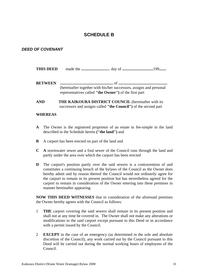## **SCHEDULE B**

### <span id="page-31-0"></span>*DEED OF COVENANT*

- **THIS DEED** made the **............................**. day of **...............................**199**.......**
- **BETWEEN .....................................................** of **.................................................** (hereinafter together with his/her successors, assigns and personal representatives called **"the Owner")** of the first part
- **AND THE KAIKOURA DISTRICT COUNCIL** (hereinafter with its successors and assigns called **"the Council")** of the second part

#### **WHEREAS**

- **A** The Owner is the registered proprietor of an estate in fee-simple in the land described in the Schedule hereto **("the land")** and
- **B** A carport has been erected on part of the land and
- **C A** stormwater sewer and a foul sewer of the Council runs through the land and partly under the area over which the carport has been erected
- **D** The carport's position partly over the said sewers is a contravention of and constitutes a continuing breach of the bylaws of the Council as the Owner does hereby admit and by reason thereof the Council would not ordinarily agree for the carport to remain in its present position but has nevertheless agreed for the carport to remain in consideration of the Owner entering into these premises in manner hereinafter appearing.

**NOW THIS DEED WITNESSES** that in consideration of the aforesaid premises the Owner hereby agrees with the Council as follows:

- 1 **THE** carport covering the said sewers shall remain in its present position and shall not at any time be covered in. The Owner shall not make any alterations or modifications to the said carport except pursuant to this Deed or in accordance with a permit issued by the Council.
- 2 **EXCEPT** in the case of an emergency (as determined in the sole and absolute discretion of the Council), any work carried out by the Council pursuant to this Deed will be carried out during the normal working hours of employees of the Council.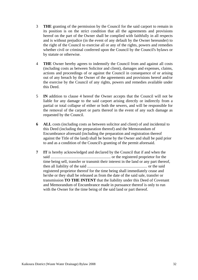- 3 **THE** granting of the permission by the Council for the said carport to remain in its position is on the strict condition that all the agreements and provisions hereof on the part of the Owner shall be complied with faithfully in all respects and is without prejudice (in the event of any default by the Owner hereunder) to the right of the Council to exercise all or any of the rights, powers and remedies whether civil or criminal conferred upon the Council by the Council's bylaws or by statute or otherwise.
- 4 **THE** Owner hereby agrees to indemnify the Council from and against all costs (including costs as between Solicitor and client), damages and expenses, claims, actions and proceedings of or against the Council in consequence of or arising out of any breach by the Owner of the agreements and provisions hereof and/or the exercise by the Council of any rights, powers and remedies available under this Deed.
- 5 **IN** addition to clause 4 hereof the Owner accepts that the Council will not be liable for any damage to the said carport arising directly or indirectly from a partial or total collapse of either or both the sewers, and will be responsible for the removal of the carport or parts thereof in the event of any such damage as requested by the Council.
- **6 ALL** costs (including costs as between solicitor and client) of and incidental to this Deed (including the preparation thereof) and the Memorandum of Encumbrance aforesaid (including the preparation and registration thereof against the Title of the land) shall be borne by the Owner and shall be paid prior to and as a condition of the Council's granting of the permit aforesaid.
- **7 IT** is hereby acknowledged and declared by the Council that if and when the said ............................................................ or the registered proprietor for the time being sell, transfer or transmit their interest in the land or any part thereof, then all liability of the said ............................................................ or the said registered proprietor thereof for the time being shall immediately cease and he/she or they shall be released as from the date of the said sale, transfer or transmission **TO THE INTENT** that the liability under this Deed of Covenant and Memorandum of Encumbrance made in pursuance thereof is only to run with the Owner for the time being of the said land or part thereof.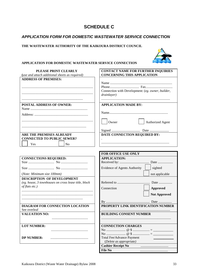## **SCHEDULE C**

#### <span id="page-33-0"></span>*APPLICATION FORM FOR DOMESTIC WASTEWATER SERVICE CONNECTION*

#### **THE WASTEWATER AUTHORITY OF THE KAIKOURA DISTRICT COUNCIL**



#### **APPLICATION FOR DOMESTIC WASTEWATER SERVICE CONNECTION**

| PLEASE PRINT CLEARLY<br>(use and attach additional sheets as required) | <b>CONTACT NAME FOR FURTHER INQUIRIES</b><br><b>CONCERNING THIS APPLICATION</b> |  |  |  |  |  |
|------------------------------------------------------------------------|---------------------------------------------------------------------------------|--|--|--|--|--|
| <b>ADDRESS OF PREMISES:</b>                                            |                                                                                 |  |  |  |  |  |
|                                                                        |                                                                                 |  |  |  |  |  |
|                                                                        |                                                                                 |  |  |  |  |  |
|                                                                        | Connection with Development: (eg. owner, builder,                               |  |  |  |  |  |
|                                                                        | drainlayer)                                                                     |  |  |  |  |  |
|                                                                        |                                                                                 |  |  |  |  |  |
|                                                                        |                                                                                 |  |  |  |  |  |
| <b>POSTAL ADDRESS OF OWNER:</b>                                        | <b>APPLICATION MADE BY:</b>                                                     |  |  |  |  |  |
|                                                                        |                                                                                 |  |  |  |  |  |
|                                                                        |                                                                                 |  |  |  |  |  |
|                                                                        |                                                                                 |  |  |  |  |  |
|                                                                        | Owner<br><b>Authorized Agent</b>                                                |  |  |  |  |  |
|                                                                        |                                                                                 |  |  |  |  |  |
|                                                                        |                                                                                 |  |  |  |  |  |
| <b>ARE THE PREMISES ALREADY</b>                                        | DATE CONNECTION REQUIRED BY:                                                    |  |  |  |  |  |
| <b>CONNECTED TO PUBLIC SEWER?</b>                                      |                                                                                 |  |  |  |  |  |
| N <sub>o</sub><br>Yes                                                  |                                                                                 |  |  |  |  |  |
|                                                                        |                                                                                 |  |  |  |  |  |
|                                                                        |                                                                                 |  |  |  |  |  |
|                                                                        | FOR OFFICE USE ONLY                                                             |  |  |  |  |  |
| <b>CONNECTIONS REQUIRED:</b>                                           | <b>APPLICATION:</b>                                                             |  |  |  |  |  |
|                                                                        |                                                                                 |  |  |  |  |  |
|                                                                        | Evidence of Agents Authority<br>sighted                                         |  |  |  |  |  |
| (Note: Minimum size 100mm)                                             | not applicable                                                                  |  |  |  |  |  |
| <b>DESCRIPTION OF DEVELOPMENT</b>                                      |                                                                                 |  |  |  |  |  |
| (eg. house, 3 townhouses on cross lease title, block                   |                                                                                 |  |  |  |  |  |
| of flats etc.)                                                         |                                                                                 |  |  |  |  |  |
|                                                                        | Connection<br><b>Approved</b>                                                   |  |  |  |  |  |
|                                                                        | <b>Not Approved</b>                                                             |  |  |  |  |  |
|                                                                        |                                                                                 |  |  |  |  |  |
|                                                                        |                                                                                 |  |  |  |  |  |
| DIAGRAM FOR CONNECTION LOCATION                                        | PROPERTY LINK IDENTIFICATION NUMBER                                             |  |  |  |  |  |
| See overleaf                                                           |                                                                                 |  |  |  |  |  |
| <b>VALUATION NO:</b>                                                   | <b>BUILDING CONSENT NUMBER</b>                                                  |  |  |  |  |  |
|                                                                        |                                                                                 |  |  |  |  |  |
|                                                                        |                                                                                 |  |  |  |  |  |
| <b>LOT NUMBER:</b>                                                     | <b>CONNECTION CHARGES</b>                                                       |  |  |  |  |  |
|                                                                        |                                                                                 |  |  |  |  |  |
|                                                                        |                                                                                 |  |  |  |  |  |
| <b>DP NUMBER:</b>                                                      | <b>Total Fee/Advance Payment</b>                                                |  |  |  |  |  |
|                                                                        | (Delete as appropriate)                                                         |  |  |  |  |  |
|                                                                        | <b>Cashier Receipt No</b>                                                       |  |  |  |  |  |
|                                                                        | <b>File No</b>                                                                  |  |  |  |  |  |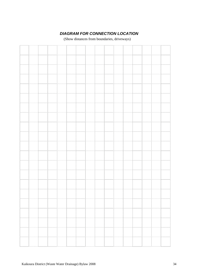## *DIAGRAM FOR CONNECTION LOCATION*

(Show distances from boundaries, driveways)

<span id="page-34-0"></span>

|  |  |   |   | 1111111 |   |   |  |  |
|--|--|---|---|---------|---|---|--|--|
|  |  |   |   |         |   |   |  |  |
|  |  |   |   |         |   |   |  |  |
|  |  |   |   |         |   |   |  |  |
|  |  |   |   |         |   |   |  |  |
|  |  |   |   | .       |   |   |  |  |
|  |  |   |   |         |   |   |  |  |
|  |  |   |   |         |   |   |  |  |
|  |  |   |   |         |   |   |  |  |
|  |  |   |   |         |   |   |  |  |
|  |  |   |   |         |   |   |  |  |
|  |  |   |   |         |   |   |  |  |
|  |  |   |   |         |   |   |  |  |
|  |  |   |   |         |   |   |  |  |
|  |  |   | . |         | . |   |  |  |
|  |  | . | . |         |   | . |  |  |
|  |  |   |   |         |   |   |  |  |
|  |  |   |   |         |   |   |  |  |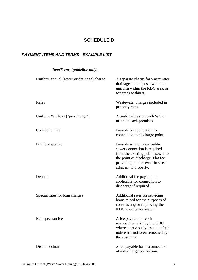## **SCHEDULE D**

## <span id="page-35-0"></span>*PAYMENT ITEMS AND TERMS - EXAMPLE LIST*

## *ItemTerms (guideline only)*

| Uniform annual (sewer or drainage) charge | A separate charge for wastewater<br>drainage and disposal which is<br>uniform within the KDC area, or<br>for areas within it.                                                                    |
|-------------------------------------------|--------------------------------------------------------------------------------------------------------------------------------------------------------------------------------------------------|
| Rates                                     | Wastewater charges included in<br>property rates.                                                                                                                                                |
| Uniform WC levy ("pan charge")            | A uniform levy on each WC or<br>urinal in each premises.                                                                                                                                         |
| Connection fee                            | Payable on application for<br>connection to discharge point.                                                                                                                                     |
| Public sewer fee                          | Payable where a new public<br>sewer connection is required<br>from the existing public sewer to<br>the point of discharge. Flat fee<br>providing public sewer in street<br>adjacent to property. |
| Deposit                                   | Additional fee payable on<br>applicable for connection to<br>discharge if required.                                                                                                              |
| Special rates for loan charges            | Additional rates for servicing<br>loans raised for the purposes of<br>constructing or improving the<br>KDC wastewater system.                                                                    |
| Reinspection fee                          | A fee payable for each<br>reinspection visit by the KDC<br>where a previously issued default<br>notice has not been remedied by<br>the customer.                                                 |
| Disconnection                             | A fee payable for disconnection<br>of a discharge connection.                                                                                                                                    |